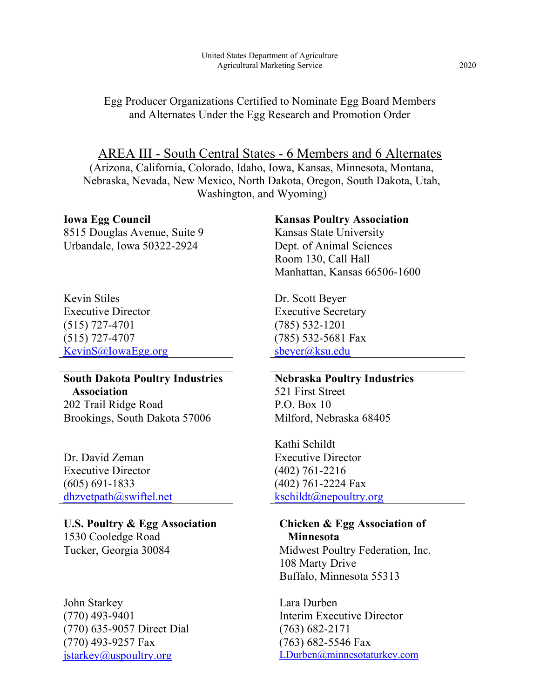### Egg Producer Organizations Certified to Nominate Egg Board Members and Alternates Under the Egg Research and Promotion Order

AREA III - South Central States - 6 Members and 6 Alternates (Arizona, California, Colorado, Idaho, Iowa, Kansas, Minnesota, Montana, Nebraska, Nevada, New Mexico, North Dakota, Oregon, South Dakota, Utah, Washington, and Wyoming)

#### **Iowa Egg Council**

8515 Douglas Avenue, Suite 9 Urbandale, Iowa 50322-2924

Kevin Stiles Executive Director (515) 727-4701 (515) 727-4707 [KevinS@IowaEgg.org](mailto:KevinS@IowaEgg.org)

# **South Dakota Poultry Industries Association**

202 Trail Ridge Road Brookings, South Dakota 57006

Dr. David Zeman Executive Director (605) 691-1833 [dhzvetpath@swiftel.net](mailto:dhzvetpath@swiftel.net)

**U.S. Poultry & Egg Association** 1530 Cooledge Road Tucker, Georgia 30084

John Starkey (770) 493-9401 (770) 635-9057 Direct Dial (770) 493-9257 Fax [jstarkey@uspoultry.org](mailto:jstarkey@uspoultry.org)

#### **Kansas Poultry Association**

Kansas State University Dept. of Animal Sciences Room 130, Call Hall Manhattan, Kansas 66506-1600

Dr. Scott Beyer Executive Secretary (785) 532-1201 (785) 532-5681 Fax [sbeyer@ksu.edu](mailto:sbeyer@ksu.edu)

### **Nebraska Poultry Industries** 521 First Street P.O. Box 10 Milford, Nebraska 68405

Kathi Schildt Executive Director (402) 761-2216 (402) 761-2224 Fax [kschildt@nepoultry.org](mailto:kschildt@nepoultry.org)

## **Chicken & Egg Association of Minnesota**

Midwest Poultry Federation, Inc. 108 Marty Drive Buffalo, Minnesota 55313

Lara Durben Interim Executive Director (763) 682-2171 (763) 682-5546 Fax [LDurben@minnesotaturkey.com](mailto:LDurben@minnesotaturkey.com)